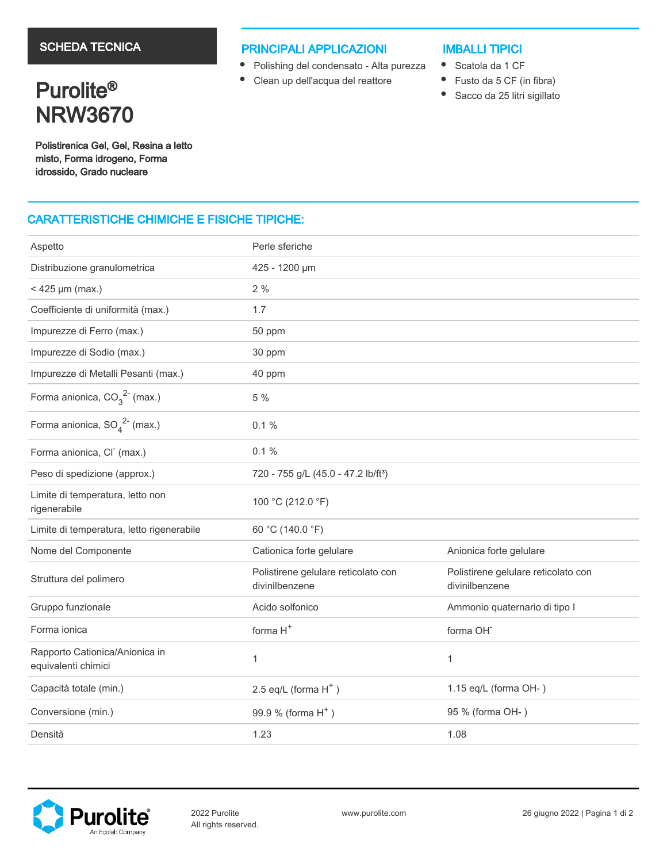# SCHEDA TECNICA

## PRINCIPALI APPLICAZIONI

- Polishing del condensato Alta purezza
- Clean up dell'acqua del reattore

## IMBALLI TIPICI

- Scatola da 1 CF
- $\bullet$ Fusto da 5 CF (in fibra)
- $\bullet$ Sacco da 25 litri sigillato

Purolite<sup>®</sup> NRW3670

Polistirenica Gel, Gel, Resina a letto misto, Forma idrogeno, Forma idrossido, Grado nucleare

# CARATTERISTICHE CHIMICHE E FISICHE TIPICHE:

| Aspetto                                               | Perle sferiche                                        |                                                       |  |  |  |
|-------------------------------------------------------|-------------------------------------------------------|-------------------------------------------------------|--|--|--|
| Distribuzione granulometrica                          | 425 - 1200 µm                                         |                                                       |  |  |  |
| $<$ 425 µm (max.)                                     | 2%                                                    |                                                       |  |  |  |
| Coefficiente di uniformità (max.)                     | 1.7                                                   |                                                       |  |  |  |
| Impurezze di Ferro (max.)                             | 50 ppm                                                |                                                       |  |  |  |
| Impurezze di Sodio (max.)                             | 30 ppm                                                |                                                       |  |  |  |
| Impurezze di Metalli Pesanti (max.)                   | 40 ppm                                                |                                                       |  |  |  |
| Forma anionica, $CO_3^2$ <sup>2</sup> (max.)          | 5 %                                                   |                                                       |  |  |  |
| Forma anionica, $SO_4^2$ <sup>2-</sup> (max.)         | 0.1%                                                  |                                                       |  |  |  |
| Forma anionica, CI <sup>-</sup> (max.)                | $0.1 \%$                                              |                                                       |  |  |  |
| Peso di spedizione (approx.)                          | 720 - 755 g/L (45.0 - 47.2 lb/ft <sup>3</sup> )       |                                                       |  |  |  |
| Limite di temperatura, letto non<br>rigenerabile      | 100 °C (212.0 °F)                                     |                                                       |  |  |  |
| Limite di temperatura, letto rigenerabile             | 60 °C (140.0 °F)                                      |                                                       |  |  |  |
| Nome del Componente                                   | Cationica forte gelulare                              | Anionica forte gelulare                               |  |  |  |
| Struttura del polimero                                | Polistirene gelulare reticolato con<br>divinilbenzene | Polistirene gelulare reticolato con<br>divinilbenzene |  |  |  |
| Gruppo funzionale                                     | Acido solfonico                                       | Ammonio quaternario di tipo I                         |  |  |  |
| Forma ionica                                          | forma H <sup>+</sup><br>forma OH <sup>-</sup>         |                                                       |  |  |  |
| Rapporto Cationica/Anionica in<br>equivalenti chimici | $\mathbf{1}$                                          | $\mathbf{1}$                                          |  |  |  |
| Capacità totale (min.)                                | 2.5 eq/L (forma $H^+$ )                               | 1.15 eq/L (forma OH-)                                 |  |  |  |
| Conversione (min.)                                    | 99.9 % (forma H <sup>+</sup> )                        | 95 % (forma OH-)                                      |  |  |  |
| Densità                                               | 1.23                                                  | 1.08                                                  |  |  |  |